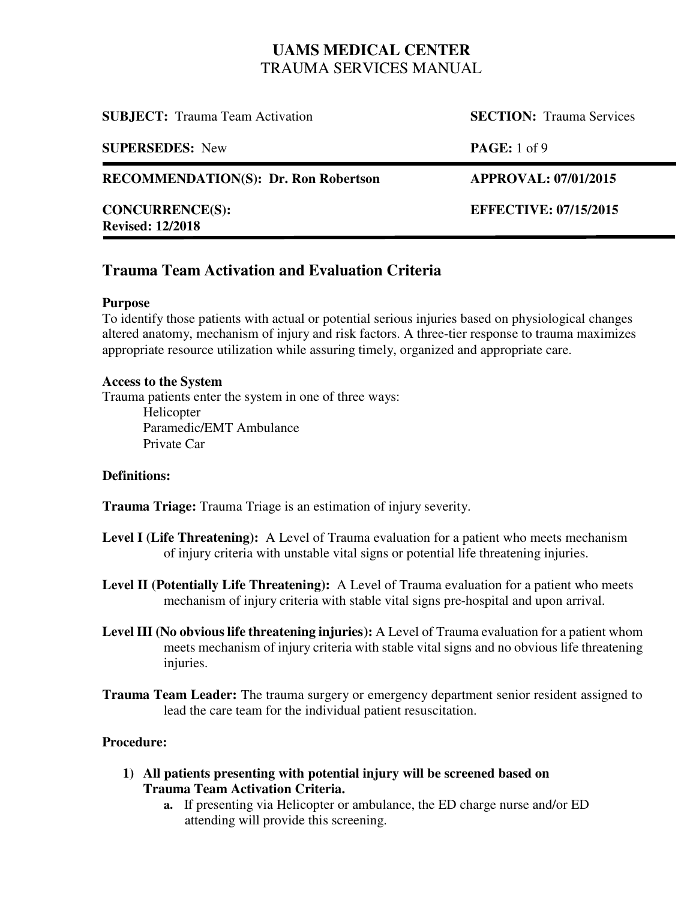| <b>SUBJECT:</b> Trauma Team Activation            | <b>SECTION:</b> Trauma Services |
|---------------------------------------------------|---------------------------------|
| <b>SUPERSEDES:</b> New                            | <b>PAGE:</b> 1 of 9             |
| <b>RECOMMENDATION(S): Dr. Ron Robertson</b>       | <b>APPROVAL: 07/01/2015</b>     |
| <b>CONCURRENCE(S):</b><br><b>Revised: 12/2018</b> | <b>EFFECTIVE: 07/15/2015</b>    |

# **Trauma Team Activation and Evaluation Criteria**

#### **Purpose**

To identify those patients with actual or potential serious injuries based on physiological changes altered anatomy, mechanism of injury and risk factors. A three-tier response to trauma maximizes appropriate resource utilization while assuring timely, organized and appropriate care.

#### **Access to the System**

Trauma patients enter the system in one of three ways: Helicopter Paramedic/EMT Ambulance Private Car

#### **Definitions:**

**Trauma Triage:** Trauma Triage is an estimation of injury severity.

- Level I (Life Threatening): A Level of Trauma evaluation for a patient who meets mechanism of injury criteria with unstable vital signs or potential life threatening injuries.
- **Level II (Potentially Life Threatening):** A Level of Trauma evaluation for a patient who meets mechanism of injury criteria with stable vital signs pre-hospital and upon arrival.
- **Level III (No obvious life threatening injuries):** A Level of Trauma evaluation for a patient whom meets mechanism of injury criteria with stable vital signs and no obvious life threatening injuries.
- **Trauma Team Leader:** The trauma surgery or emergency department senior resident assigned to lead the care team for the individual patient resuscitation.

#### **Procedure:**

- **1) All patients presenting with potential injury will be screened based on Trauma Team Activation Criteria.**
	- **a.** If presenting via Helicopter or ambulance, the ED charge nurse and/or ED attending will provide this screening.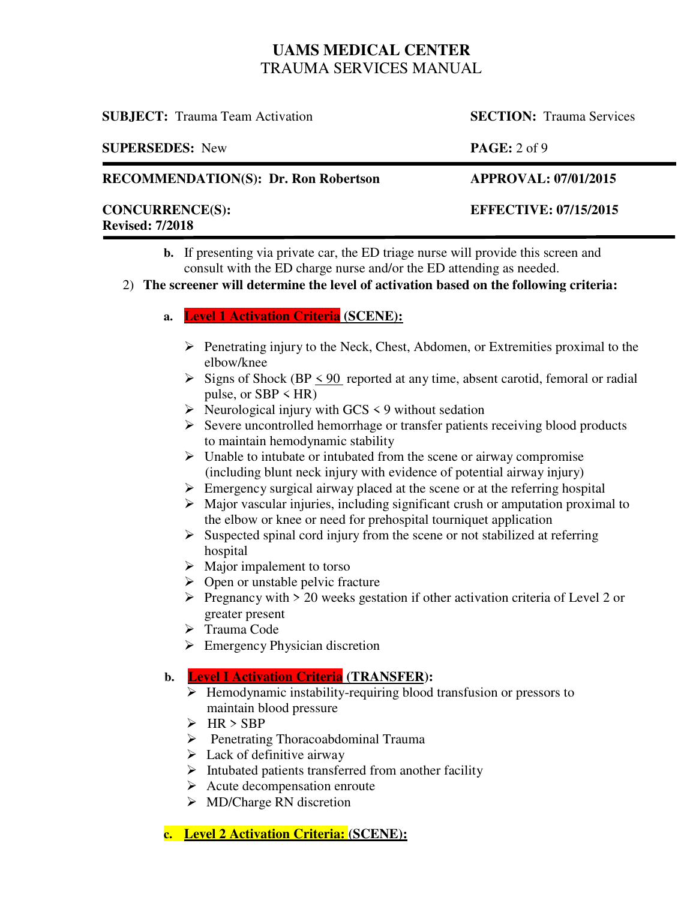| <b>SUBJECT:</b> Trauma Team Activation           | <b>SECTION:</b> Trauma Services                                                                                                                                  |
|--------------------------------------------------|------------------------------------------------------------------------------------------------------------------------------------------------------------------|
| <b>SUPERSEDES: New</b>                           | <b>PAGE:</b> $2$ of 9                                                                                                                                            |
| <b>RECOMMENDATION(S): Dr. Ron Robertson</b>      | <b>APPROVAL: 07/01/2015</b>                                                                                                                                      |
| <b>CONCURRENCE(S):</b><br><b>Revised: 7/2018</b> | <b>EFFECTIVE: 07/15/2015</b>                                                                                                                                     |
|                                                  | <b>b.</b> If presenting via private car, the ED triage nurse will provide this screen and<br>consult with the ED charge nurse and/or the ED attending as needed. |
| 2)                                               | The screener will determine the level of activation based on the following criteria:                                                                             |

- **a. Level 1 Activation Criteria (SCENE):**
	- $\triangleright$  Penetrating injury to the Neck, Chest, Abdomen, or Extremities proximal to the elbow/knee
	- $\triangleright$  Signs of Shock (BP < 90 reported at any time, absent carotid, femoral or radial pulse, or  $SBP \le HR$ )
	- $\triangleright$  Neurological injury with GCS < 9 without sedation
	- $\triangleright$  Severe uncontrolled hemorrhage or transfer patients receiving blood products to maintain hemodynamic stability
	- $\triangleright$  Unable to intubate or intubated from the scene or airway compromise (including blunt neck injury with evidence of potential airway injury)
	- $\triangleright$  Emergency surgical airway placed at the scene or at the referring hospital
	- $\triangleright$  Major vascular injuries, including significant crush or amputation proximal to the elbow or knee or need for prehospital tourniquet application
	- $\triangleright$  Suspected spinal cord injury from the scene or not stabilized at referring hospital
	- $\triangleright$  Major impalement to torso
	- $\triangleright$  Open or unstable pelvic fracture
	- $\triangleright$  Pregnancy with  $> 20$  weeks gestation if other activation criteria of Level 2 or greater present
	- > Trauma Code
	- $\triangleright$  Emergency Physician discretion

#### **b. Level I Activation Criteria (TRANSFER):**

- $\triangleright$  Hemodynamic instability-requiring blood transfusion or pressors to maintain blood pressure
- $\triangleright$  HR > SBP
- $\triangleright$  Penetrating Thoracoabdominal Trauma
- $\triangleright$  Lack of definitive airway
- $\triangleright$  Intubated patients transferred from another facility
- $\triangleright$  Acute decompensation enroute
- $\triangleright$  MD/Charge RN discretion
- **c. Level 2 Activation Criteria: (SCENE):**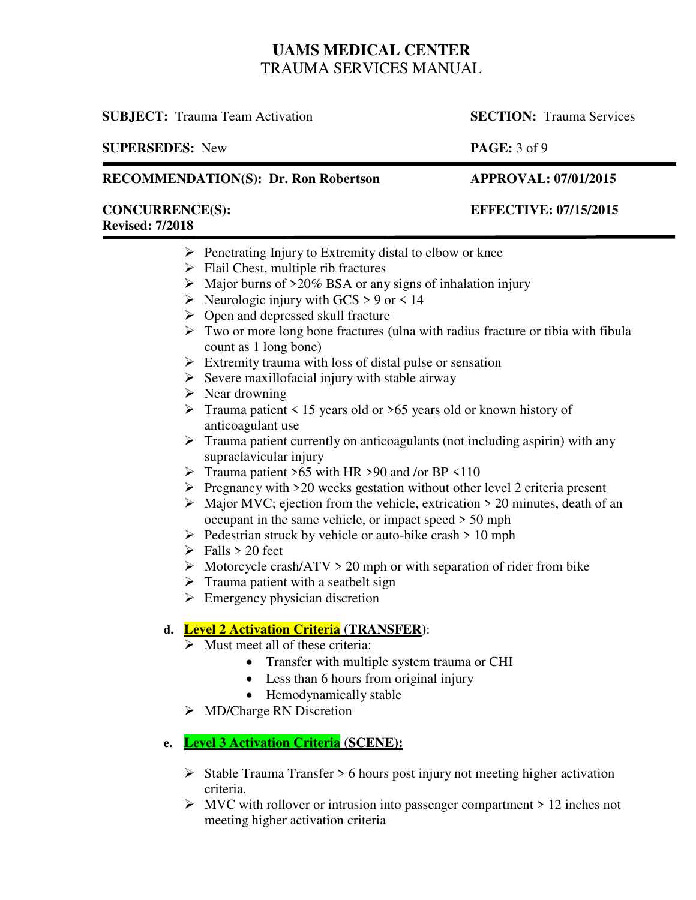|                                                  | <b>SUBJECT:</b> Trauma Team Activation                                                                                                                                                                                                                                                                                                                                                                                                                                                                                                                                                                                                                                                                                                                                                                                                                                                                                                                                                                                                                                                                                                                                                                                                                                                                                                                                                                                                                                                                                                                                                                                                                                                                                                                                                                | <b>SECTION:</b> Trauma Services |
|--------------------------------------------------|-------------------------------------------------------------------------------------------------------------------------------------------------------------------------------------------------------------------------------------------------------------------------------------------------------------------------------------------------------------------------------------------------------------------------------------------------------------------------------------------------------------------------------------------------------------------------------------------------------------------------------------------------------------------------------------------------------------------------------------------------------------------------------------------------------------------------------------------------------------------------------------------------------------------------------------------------------------------------------------------------------------------------------------------------------------------------------------------------------------------------------------------------------------------------------------------------------------------------------------------------------------------------------------------------------------------------------------------------------------------------------------------------------------------------------------------------------------------------------------------------------------------------------------------------------------------------------------------------------------------------------------------------------------------------------------------------------------------------------------------------------------------------------------------------------|---------------------------------|
| <b>SUPERSEDES: New</b>                           |                                                                                                                                                                                                                                                                                                                                                                                                                                                                                                                                                                                                                                                                                                                                                                                                                                                                                                                                                                                                                                                                                                                                                                                                                                                                                                                                                                                                                                                                                                                                                                                                                                                                                                                                                                                                       | <b>PAGE:</b> 3 of 9             |
|                                                  | <b>RECOMMENDATION(S): Dr. Ron Robertson</b>                                                                                                                                                                                                                                                                                                                                                                                                                                                                                                                                                                                                                                                                                                                                                                                                                                                                                                                                                                                                                                                                                                                                                                                                                                                                                                                                                                                                                                                                                                                                                                                                                                                                                                                                                           | <b>APPROVAL: 07/01/2015</b>     |
| <b>CONCURRENCE(S):</b><br><b>Revised: 7/2018</b> |                                                                                                                                                                                                                                                                                                                                                                                                                                                                                                                                                                                                                                                                                                                                                                                                                                                                                                                                                                                                                                                                                                                                                                                                                                                                                                                                                                                                                                                                                                                                                                                                                                                                                                                                                                                                       | <b>EFFECTIVE: 07/15/2015</b>    |
| d.                                               | $\triangleright$ Penetrating Injury to Extremity distal to elbow or knee<br>$\triangleright$ Flail Chest, multiple rib fractures<br>$\triangleright$ Major burns of >20% BSA or any signs of inhalation injury<br>Simple 14 Neurologic injury with GCS > 9 or < 14<br>$\triangleright$ Open and depressed skull fracture<br>$\triangleright$ Two or more long bone fractures (ulna with radius fracture or tibia with fibula<br>count as 1 long bone)<br>$\triangleright$ Extremity trauma with loss of distal pulse or sensation<br>$\triangleright$ Severe maxillofacial injury with stable airway<br>$\triangleright$ Near drowning<br>$\triangleright$ Trauma patient < 15 years old or >65 years old or known history of<br>anticoagulant use<br>$\triangleright$ Trauma patient currently on anticoagulants (not including aspirin) with any<br>supraclavicular injury<br>Trauma patient >65 with HR >90 and /or BP <110<br>$\triangleright$ Pregnancy with >20 weeks gestation without other level 2 criteria present<br>$\triangleright$ Major MVC; ejection from the vehicle, extrication $>$ 20 minutes, death of an<br>occupant in the same vehicle, or impact speed $>$ 50 mph<br>$\triangleright$ Pedestrian struck by vehicle or auto-bike crash $> 10$ mph<br>$\triangleright$ Falls > 20 feet<br>$\triangleright$ Motorcycle crash/ATV $> 20$ mph or with separation of rider from bike<br>$\triangleright$ Trauma patient with a seatbelt sign<br>$\triangleright$ Emergency physician discretion<br><b>Level 2 Activation Criteria</b> (TRANSFER):<br>$\triangleright$ Must meet all of these criteria:<br>Transfer with multiple system trauma or CHI<br>$\bullet$<br>Less than 6 hours from original injury<br>Hemodynamically stable<br>$\triangleright$ MD/Charge RN Discretion |                                 |
| е.                                               | <b>Level 3 Activation Criteria (SCENE):</b>                                                                                                                                                                                                                                                                                                                                                                                                                                                                                                                                                                                                                                                                                                                                                                                                                                                                                                                                                                                                                                                                                                                                                                                                                                                                                                                                                                                                                                                                                                                                                                                                                                                                                                                                                           |                                 |
|                                                  | $\triangleright$ Stable Trauma Transfer $\triangleright$ 6 hours post injury not meeting higher activation<br>criteria.<br>$\triangleright$ MVC with rollover or intrusion into passenger compartment $\triangleright$ 12 inches not<br>meeting higher activation criteria                                                                                                                                                                                                                                                                                                                                                                                                                                                                                                                                                                                                                                                                                                                                                                                                                                                                                                                                                                                                                                                                                                                                                                                                                                                                                                                                                                                                                                                                                                                            |                                 |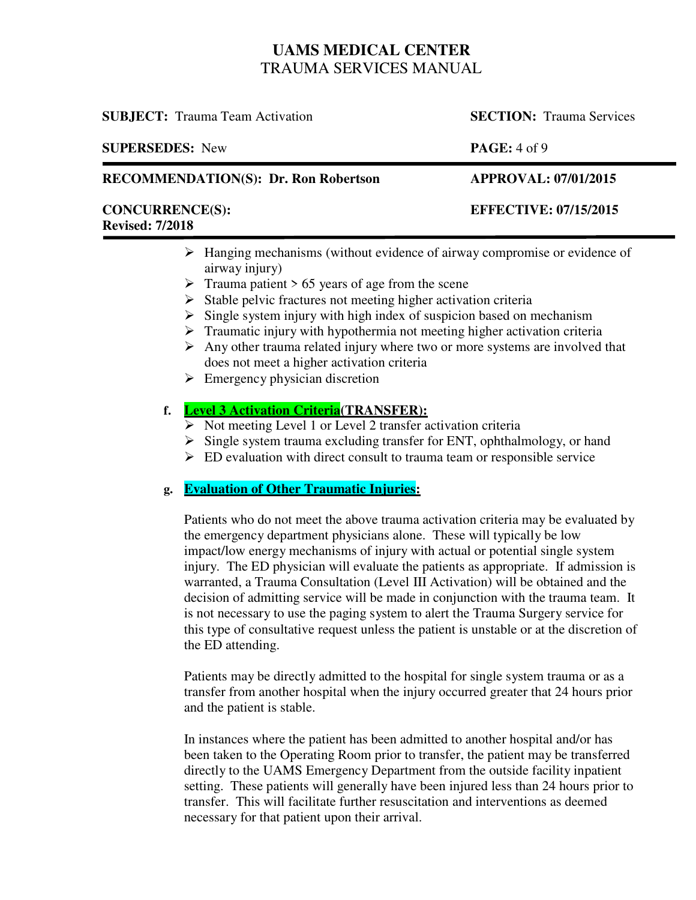| <b>SUBJECT:</b> Trauma Team Activation                                                    | <b>SECTION:</b> Trauma Services |
|-------------------------------------------------------------------------------------------|---------------------------------|
| <b>SUPERSEDES: New</b>                                                                    | <b>PAGE:</b> $4$ of $9$         |
| <b>RECOMMENDATION(S): Dr. Ron Robertson</b>                                               | <b>APPROVAL: 07/01/2015</b>     |
| <b>CONCURRENCE(S):</b><br><b>Revised: 7/2018</b>                                          | <b>EFFECTIVE: 07/15/2015</b>    |
| $\triangleright$ Hanging mechanisms (without evidence of airway compromise or evidence of |                                 |

- Hanging mechanisms (without evidence of airway compromise or evidence of airway injury)
- $\triangleright$  Trauma patient  $> 65$  years of age from the scene
- $\triangleright$  Stable pelvic fractures not meeting higher activation criteria
- $\triangleright$  Single system injury with high index of suspicion based on mechanism
- $\triangleright$  Traumatic injury with hypothermia not meeting higher activation criteria
- $\triangleright$  Any other trauma related injury where two or more systems are involved that does not meet a higher activation criteria
- $\triangleright$  Emergency physician discretion

### **f. Level 3 Activation Criteria(TRANSFER):**

- $\triangleright$  Not meeting Level 1 or Level 2 transfer activation criteria
- $\triangleright$  Single system trauma excluding transfer for ENT, ophthalmology, or hand
- $\triangleright$  ED evaluation with direct consult to trauma team or responsible service

#### **g. Evaluation of Other Traumatic Injuries:**

Patients who do not meet the above trauma activation criteria may be evaluated by the emergency department physicians alone. These will typically be low impact/low energy mechanisms of injury with actual or potential single system injury. The ED physician will evaluate the patients as appropriate. If admission is warranted, a Trauma Consultation (Level III Activation) will be obtained and the decision of admitting service will be made in conjunction with the trauma team. It is not necessary to use the paging system to alert the Trauma Surgery service for this type of consultative request unless the patient is unstable or at the discretion of the ED attending.

Patients may be directly admitted to the hospital for single system trauma or as a transfer from another hospital when the injury occurred greater that 24 hours prior and the patient is stable.

In instances where the patient has been admitted to another hospital and/or has been taken to the Operating Room prior to transfer, the patient may be transferred directly to the UAMS Emergency Department from the outside facility inpatient setting. These patients will generally have been injured less than 24 hours prior to transfer. This will facilitate further resuscitation and interventions as deemed necessary for that patient upon their arrival.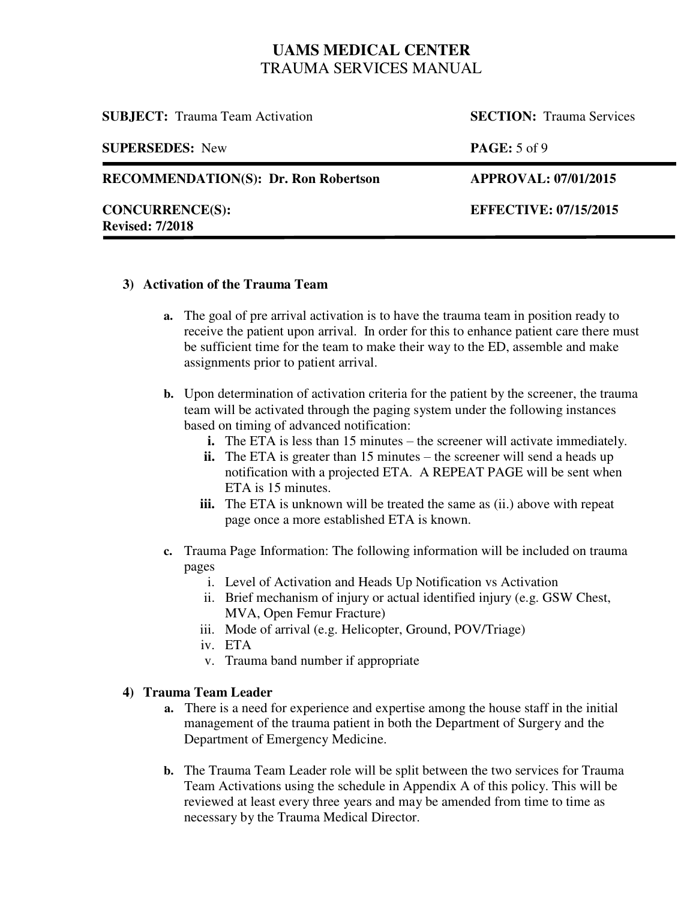| <b>SUBJECT:</b> Trauma Team Activation           | <b>SECTION:</b> Trauma Services |
|--------------------------------------------------|---------------------------------|
| <b>SUPERSEDES: New</b>                           | <b>PAGE:</b> 5 of 9             |
| <b>RECOMMENDATION(S): Dr. Ron Robertson</b>      | <b>APPROVAL: 07/01/2015</b>     |
| <b>CONCURRENCE(S):</b><br><b>Revised: 7/2018</b> | <b>EFFECTIVE: 07/15/2015</b>    |
|                                                  |                                 |

#### **3) Activation of the Trauma Team**

- **a.** The goal of pre arrival activation is to have the trauma team in position ready to receive the patient upon arrival. In order for this to enhance patient care there must be sufficient time for the team to make their way to the ED, assemble and make assignments prior to patient arrival.
- **b.** Upon determination of activation criteria for the patient by the screener, the trauma team will be activated through the paging system under the following instances based on timing of advanced notification:
	- **i.** The ETA is less than 15 minutes the screener will activate immediately.
	- **ii.** The ETA is greater than 15 minutes the screener will send a heads up notification with a projected ETA. A REPEAT PAGE will be sent when ETA is 15 minutes.
	- **iii.** The ETA is unknown will be treated the same as (ii.) above with repeat page once a more established ETA is known.
- **c.** Trauma Page Information: The following information will be included on trauma pages
	- i. Level of Activation and Heads Up Notification vs Activation
	- ii. Brief mechanism of injury or actual identified injury (e.g. GSW Chest, MVA, Open Femur Fracture)
	- iii. Mode of arrival (e.g. Helicopter, Ground, POV/Triage)
	- iv. ETA
	- v. Trauma band number if appropriate

#### **4) Trauma Team Leader**

- **a.** There is a need for experience and expertise among the house staff in the initial management of the trauma patient in both the Department of Surgery and the Department of Emergency Medicine.
- **b.** The Trauma Team Leader role will be split between the two services for Trauma Team Activations using the schedule in Appendix A of this policy. This will be reviewed at least every three years and may be amended from time to time as necessary by the Trauma Medical Director.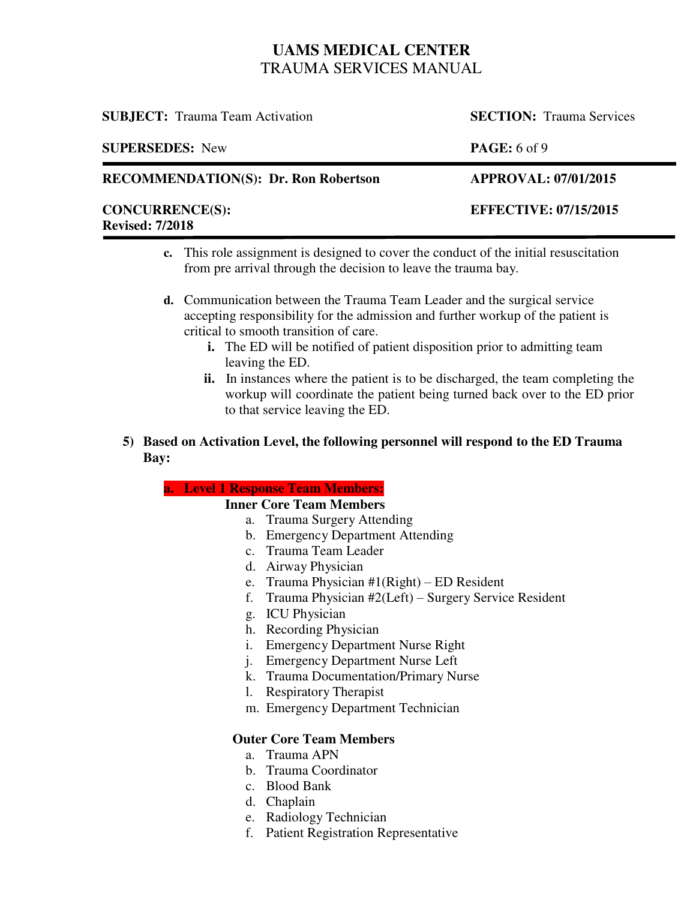| <b>SUBJECT:</b> Trauma Team Activation           | <b>SECTION:</b> Trauma Services |
|--------------------------------------------------|---------------------------------|
| <b>SUPERSEDES: New</b>                           | <b>PAGE:</b> 6 of 9             |
| <b>RECOMMENDATION(S): Dr. Ron Robertson</b>      | <b>APPROVAL: 07/01/2015</b>     |
| <b>CONCURRENCE(S):</b><br><b>Revised: 7/2018</b> | <b>EFFECTIVE: 07/15/2015</b>    |
|                                                  |                                 |

- **c.** This role assignment is designed to cover the conduct of the initial resuscitation from pre arrival through the decision to leave the trauma bay.
- **d.** Communication between the Trauma Team Leader and the surgical service accepting responsibility for the admission and further workup of the patient is critical to smooth transition of care.
	- **i.** The ED will be notified of patient disposition prior to admitting team leaving the ED.
	- **ii.** In instances where the patient is to be discharged, the team completing the workup will coordinate the patient being turned back over to the ED prior to that service leaving the ED.

### **5) Based on Activation Level, the following personnel will respond to the ED Trauma Bay:**

### **a. Level 1 Response Team Members:**

#### **Inner Core Team Members**

- a. Trauma Surgery Attending
- b. Emergency Department Attending
- c. Trauma Team Leader
- d. Airway Physician
- e. Trauma Physician #1(Right) ED Resident
- f. Trauma Physician #2(Left) Surgery Service Resident
- g. ICU Physician
- h. Recording Physician
- i. Emergency Department Nurse Right
- j. Emergency Department Nurse Left
- k. Trauma Documentation/Primary Nurse
- l. Respiratory Therapist
- m. Emergency Department Technician

#### **Outer Core Team Members**

- a. Trauma APN
- b. Trauma Coordinator
- c. Blood Bank
- d. Chaplain
- e. Radiology Technician
- f. Patient Registration Representative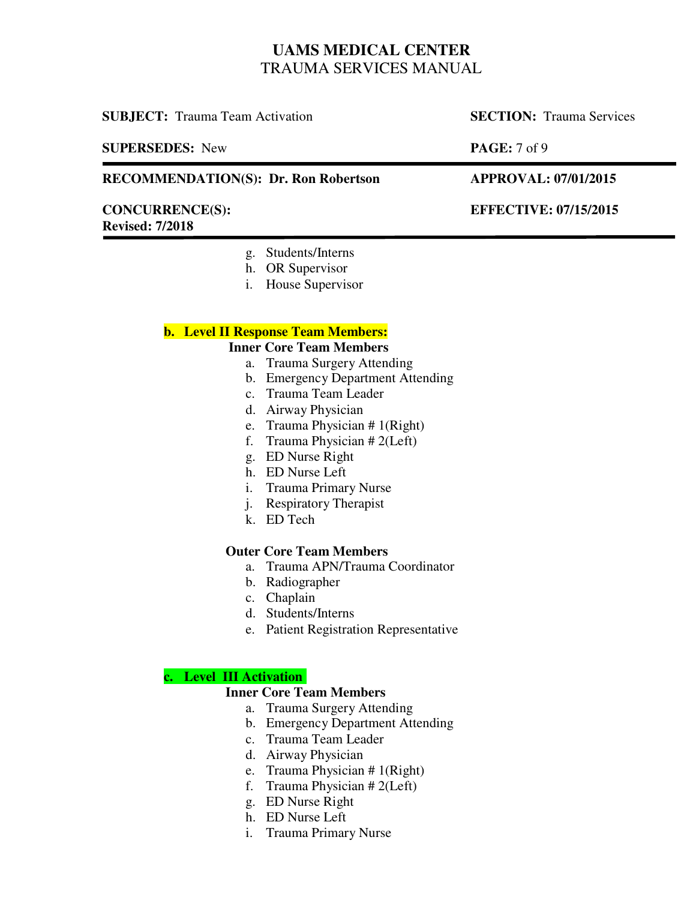**SUBJECT:** Trauma Team Activation **SECTION:** Trauma Services

#### **SUPERSEDES:** New **PAGE:** 7 of 9

#### **RECOMMENDATION(S): Dr. Ron Robertson APPROVAL: 07/01/2015**

#### **CONCURRENCE(S): EFFECTIVE: 07/15/2015 Revised: 7/2018**

- g. Students/Interns
- h. OR Supervisor
- i. House Supervisor

#### **b. Level II Response Team Members:**

#### **Inner Core Team Members**

- a. Trauma Surgery Attending
- b. Emergency Department Attending
- c. Trauma Team Leader
- d. Airway Physician
- e. Trauma Physician # 1(Right)
- f. Trauma Physician # 2(Left)
- g. ED Nurse Right
- h. ED Nurse Left
- i. Trauma Primary Nurse
- j. Respiratory Therapist
- k. ED Tech

#### **Outer Core Team Members**

- a. Trauma APN/Trauma Coordinator
- b. Radiographer
- c. Chaplain
- d. Students/Interns
- e. Patient Registration Representative

### **c. Level III Activation**

#### **Inner Core Team Members**

- a. Trauma Surgery Attending
- b. Emergency Department Attending
- c. Trauma Team Leader
- d. Airway Physician
- e. Trauma Physician # 1(Right)
- f. Trauma Physician # 2(Left)
- g. ED Nurse Right
- h. ED Nurse Left
- i. Trauma Primary Nurse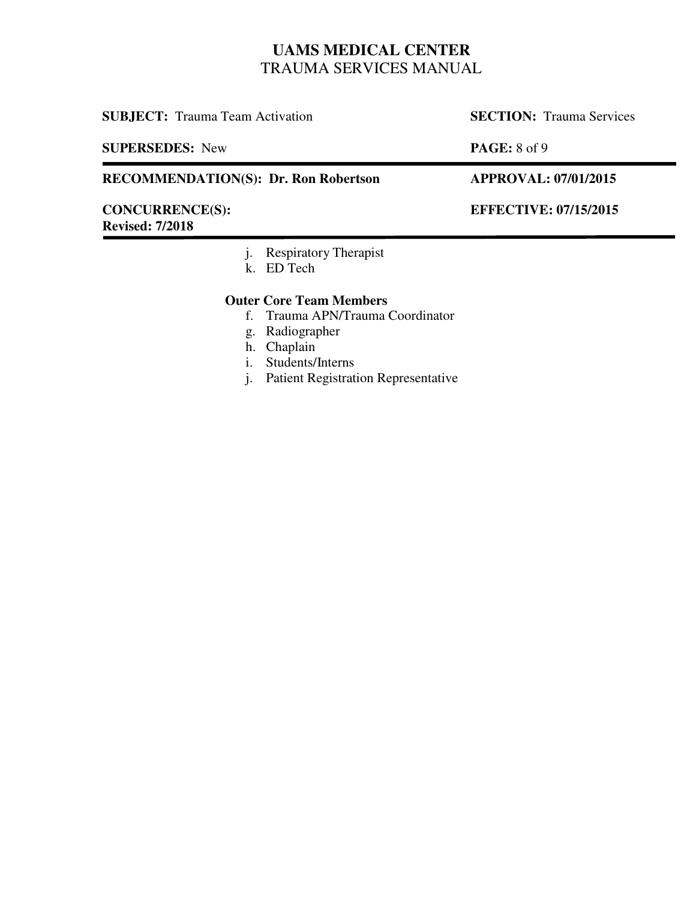**SUBJECT:** Trauma Team Activation **SECTION:** Trauma Services

**SUPERSEDES:** New **PAGE:** 8 of 9

**RECOMMENDATION(S): Dr. Ron Robertson APPROVAL: 07/01/2015**

**CONCURRENCE(S): EFFECTIVE: 07/15/2015 Revised: 7/2018**

- j. Respiratory Therapist
- k. ED Tech

#### **Outer Core Team Members**

- f. Trauma APN/Trauma Coordinator
- g. Radiographer
- h. Chaplain
- i. Students/Interns
- j. Patient Registration Representative